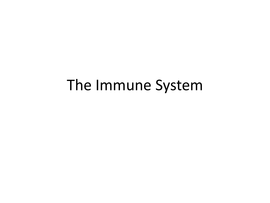## The Immune System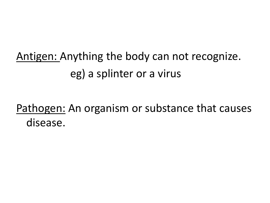Antigen: Anything the body can not recognize. eg) a splinter or a virus

Pathogen: An organism or substance that causes disease.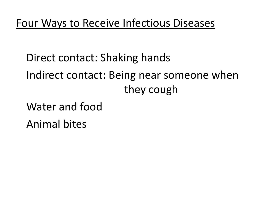Direct contact: Shaking hands Indirect contact: Being near someone when they cough

Water and food Animal bites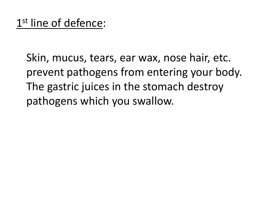Skin, mucus, tears, ear wax, nose hair, etc. prevent pathogens from entering your body. The gastric juices in the stomach destroy pathogens which you swallow.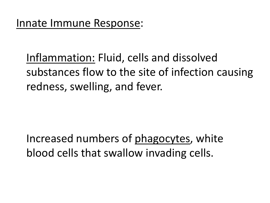Inflammation: Fluid, cells and dissolved substances flow to the site of infection causing redness, swelling, and fever.

Increased numbers of phagocytes, white blood cells that swallow invading cells.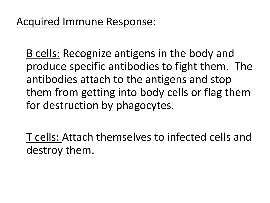B cells: Recognize antigens in the body and produce specific antibodies to fight them. The antibodies attach to the antigens and stop them from getting into body cells or flag them for destruction by phagocytes.

T cells: Attach themselves to infected cells and destroy them.